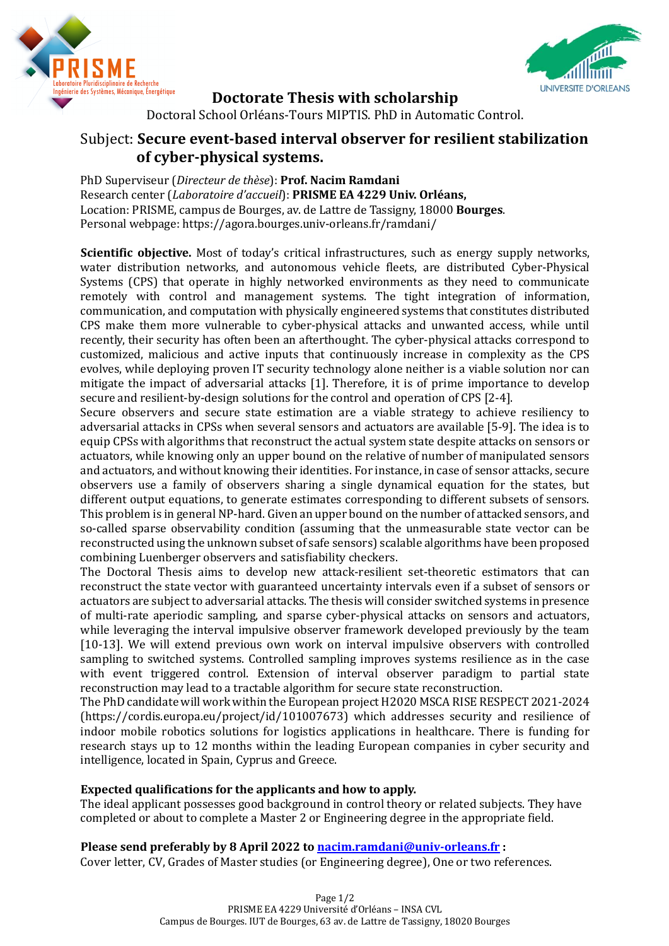



**Doctorate Thesis with scholarship** 

Doctoral School Orléans-Tours MIPTIS. PhD in Automatic Control.

## **Subject: Secure event-based interval observer for resilient stabilization of cyber-physical systems.**

PhD Superviseur (*Directeur de thèse*): Prof. Nacim Ramdani Research center (*Laboratoire d'accueil*): **PRISME EA 4229 Univ. Orléans,** Location: PRISME, campus de Bourges, av. de Lattre de Tassigny, 18000 **Bourges**. Personal webpage: https://agora.bourges.univ-orleans.fr/ramdani/

**Scientific objective.** Most of today's critical infrastructures, such as energy supply networks, water distribution networks, and autonomous vehicle fleets, are distributed Cyber-Physical Systems (CPS) that operate in highly networked environments as they need to communicate remotely with control and management systems. The tight integration of information, communication, and computation with physically engineered systems that constitutes distributed CPS make them more vulnerable to cyber-physical attacks and unwanted access, while until recently, their security has often been an afterthought. The cyber-physical attacks correspond to customized, malicious and active inputs that continuously increase in complexity as the CPS evolves, while deploying proven IT security technology alone neither is a viable solution nor can mitigate the impact of adversarial attacks [1]. Therefore, it is of prime importance to develop secure and resilient-by-design solutions for the control and operation of CPS [2-4].

Secure observers and secure state estimation are a viable strategy to achieve resiliency to adversarial attacks in CPSs when several sensors and actuators are available [5-9]. The idea is to equip CPSs with algorithms that reconstruct the actual system state despite attacks on sensors or actuators, while knowing only an upper bound on the relative of number of manipulated sensors and actuators, and without knowing their identities. For instance, in case of sensor attacks, secure observers use a family of observers sharing a single dynamical equation for the states, but different output equations, to generate estimates corresponding to different subsets of sensors. This problem is in general NP-hard. Given an upper bound on the number of attacked sensors, and so-called sparse observability condition (assuming that the unmeasurable state vector can be reconstructed using the unknown subset of safe sensors) scalable algorithms have been proposed combining Luenberger observers and satisfiability checkers.

The Doctoral Thesis aims to develop new attack-resilient set-theoretic estimators that can reconstruct the state vector with guaranteed uncertainty intervals even if a subset of sensors or actuators are subject to adversarial attacks. The thesis will consider switched systems in presence of multi-rate aperiodic sampling, and sparse cyber-physical attacks on sensors and actuators, while leveraging the interval impulsive observer framework developed previously by the team [10-13]. We will extend previous own work on interval impulsive observers with controlled sampling to switched systems. Controlled sampling improves systems resilience as in the case with event triggered control. Extension of interval observer paradigm to partial state reconstruction may lead to a tractable algorithm for secure state reconstruction.

The PhD candidate will work within the European project H2020 MSCA RISE RESPECT 2021-2024 (https://cordis.europa.eu/project/id/101007673) which addresses security and resilience of indoor mobile robotics solutions for logistics applications in healthcare. There is funding for research stays up to 12 months within the leading European companies in cyber security and intelligence, located in Spain, Cyprus and Greece.

## **Expected qualifications for the applicants and how to apply.**

The ideal applicant possesses good background in control theory or related subjects. They have completed or about to complete a Master 2 or Engineering degree in the appropriate field.

**Please send preferably by 8 April 2022 to nacim.ramdani@univ-orleans.fr:** Cover letter, CV, Grades of Master studies (or Engineering degree), One or two references.